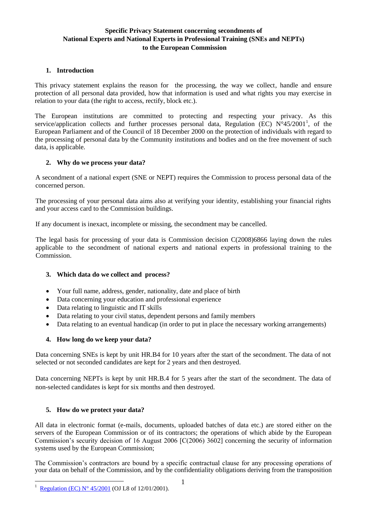# **Specific Privacy Statement concerning secondments of National Experts and National Experts in Professional Training (SNEs and NEPTs) to the European Commission**

### **1. Introduction**

This privacy statement explains the reason for the processing, the way we collect, handle and ensure protection of all personal data provided, how that information is used and what rights you may exercise in relation to your data (the right to access, rectify, block etc.).

The European institutions are committed to protecting and respecting your privacy. As this service/application collects and further processes personal data, Regulation (EC) N°45/2001<sup>1</sup>, of the European Parliament and of the Council of 18 December 2000 on the protection of individuals with regard to the processing of personal data by the Community institutions and bodies and on the free movement of such data, is applicable.

### **2. Why do we process your data?**

A secondment of a national expert (SNE or NEPT) requires the Commission to process personal data of the concerned person.

The processing of your personal data aims also at verifying your identity, establishing your financial rights and your access card to the Commission buildings.

If any document is inexact, incomplete or missing, the secondment may be cancelled.

The legal basis for processing of your data is Commission decision C(2008)6866 laying down the rules applicable to the secondment of national experts and national experts in professional training to the Commission.

# **3. Which data do we collect and process?**

- Your full name, address, gender, nationality, date and place of birth
- Data concerning your education and professional experience
- Data relating to linguistic and IT skills
- Data relating to your civil status, dependent persons and family members
- Data relating to an eventual handicap (in order to put in place the necessary working arrangements)

# **4. How long do we keep your data?**

Data concerning SNEs is kept by unit HR.B4 for 10 years after the start of the secondment. The data of not selected or not seconded candidates are kept for 2 years and then destroyed.

Data concerning NEPTs is kept by unit HR.B.4 for 5 years after the start of the secondment. The data of non-selected candidates is kept for six months and then destroyed.

# **5. How do we protect your data?**

All data in electronic format (e-mails, documents, uploaded batches of data etc.) are stored either on the servers of the European Commission or of its contractors; the operations of which abide by the European Commission's security decision of 16 August 2006 [C(2006) 3602] concerning the security of information systems used by the European Commission;

The Commission's contractors are bound by a specific contractual clause for any processing operations of your data on behalf of the Commission, and by the confidentiality obligations deriving from the transposition

1

<sup>1</sup> [Regulation \(EC\) N° 45/2001](http://eur-lex.europa.eu/legal-content/EN/ALL/?uri=CELEX:32001R0045) (OJ L8 of 12/01/2001).